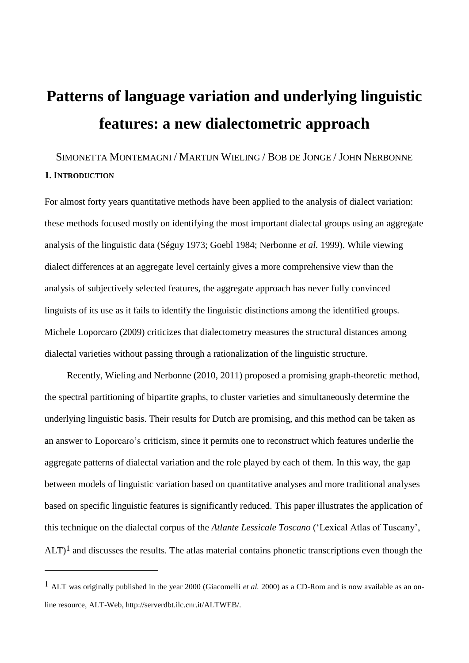# **Patterns of language variation and underlying linguistic features: a new dialectometric approach**

# SIMONETTA MONTEMAGNI / MARTIJN WIELING / BOB DE JONGE / JOHN NERBONNE **1. INTRODUCTION**

For almost forty years quantitative methods have been applied to the analysis of dialect variation: these methods focused mostly on identifying the most important dialectal groups using an aggregate analysis of the linguistic data (Séguy 1973; Goebl 1984; Nerbonne *et al.* 1999). While viewing dialect differences at an aggregate level certainly gives a more comprehensive view than the analysis of subjectively selected features, the aggregate approach has never fully convinced linguists of its use as it fails to identify the linguistic distinctions among the identified groups. Michele Loporcaro (2009) criticizes that dialectometry measures the structural distances among dialectal varieties without passing through a rationalization of the linguistic structure.

Recently, Wieling and Nerbonne (2010, 2011) proposed a promising graph-theoretic method, the spectral partitioning of bipartite graphs, to cluster varieties and simultaneously determine the underlying linguistic basis. Their results for Dutch are promising, and this method can be taken as an answer to Loporcaro"s criticism, since it permits one to reconstruct which features underlie the aggregate patterns of dialectal variation and the role played by each of them. In this way, the gap between models of linguistic variation based on quantitative analyses and more traditional analyses based on specific linguistic features is significantly reduced. This paper illustrates the application of this technique on the dialectal corpus of the *Atlante Lessicale Toscano* ("Lexical Atlas of Tuscany",  $ALT$ <sup>1</sup> and discusses the results. The atlas material contains phonetic transcriptions even though the

<sup>1</sup> ALT was originally published in the year 2000 (Giacomelli *et al.* 2000) as a CD-Rom and is now available as an online resource, ALT-Web, http://serverdbt.ilc.cnr.it/ALTWEB/.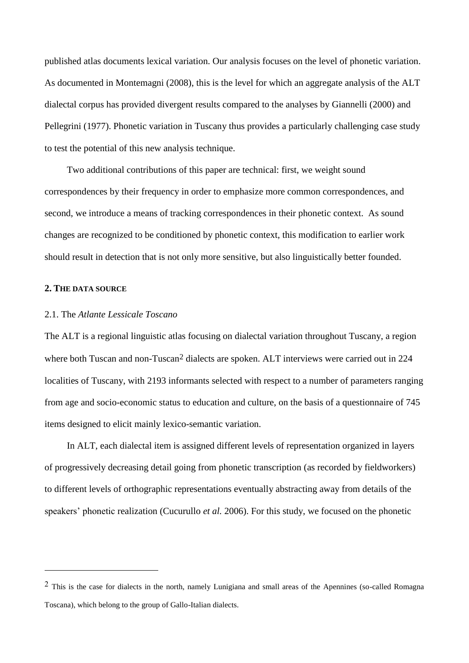published atlas documents lexical variation. Our analysis focuses on the level of phonetic variation. As documented in Montemagni (2008), this is the level for which an aggregate analysis of the ALT dialectal corpus has provided divergent results compared to the analyses by Giannelli (2000) and Pellegrini (1977). Phonetic variation in Tuscany thus provides a particularly challenging case study to test the potential of this new analysis technique.

Two additional contributions of this paper are technical: first, we weight sound correspondences by their frequency in order to emphasize more common correspondences, and second, we introduce a means of tracking correspondences in their phonetic context. As sound changes are recognized to be conditioned by phonetic context, this modification to earlier work should result in detection that is not only more sensitive, but also linguistically better founded.

#### **2. THE DATA SOURCE**

1

## 2.1. The *Atlante Lessicale Toscano*

The ALT is a regional linguistic atlas focusing on dialectal variation throughout Tuscany, a region where both Tuscan and non-Tuscan<sup>2</sup> dialects are spoken. ALT interviews were carried out in 224 localities of Tuscany, with 2193 informants selected with respect to a number of parameters ranging from age and socio-economic status to education and culture, on the basis of a questionnaire of 745 items designed to elicit mainly lexico-semantic variation.

In ALT, each dialectal item is assigned different levels of representation organized in layers of progressively decreasing detail going from phonetic transcription (as recorded by fieldworkers) to different levels of orthographic representations eventually abstracting away from details of the speakers' phonetic realization (Cucurullo *et al.* 2006). For this study, we focused on the phonetic

<sup>2</sup> This is the case for dialects in the north, namely Lunigiana and small areas of the Apennines (so-called Romagna Toscana), which belong to the group of Gallo-Italian dialects.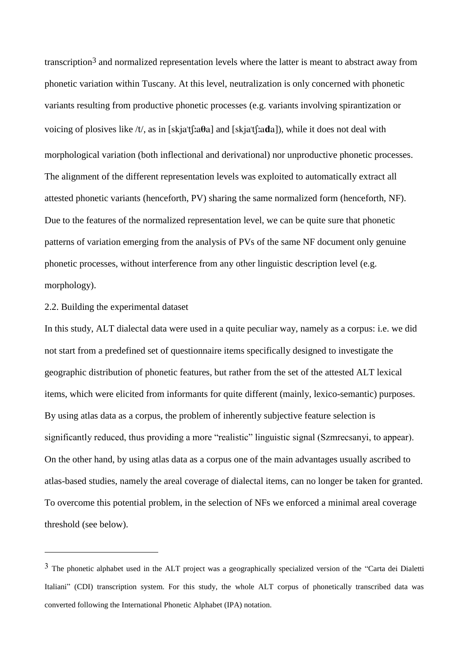transcription3 and normalized representation levels where the latter is meant to abstract away from phonetic variation within Tuscany. At this level, neutralization is only concerned with phonetic variants resulting from productive phonetic processes (e.g. variants involving spirantization or voicing of plosives like  $/t$ , as in [skja't[;a $\theta$ a] and [skja't[;a $\theta$ a]), while it does not deal with morphological variation (both inflectional and derivational) nor unproductive phonetic processes. The alignment of the different representation levels was exploited to automatically extract all attested phonetic variants (henceforth, PV) sharing the same normalized form (henceforth, NF). Due to the features of the normalized representation level, we can be quite sure that phonetic patterns of variation emerging from the analysis of PVs of the same NF document only genuine phonetic processes, without interference from any other linguistic description level (e.g. morphology).

# 2.2. Building the experimental dataset

<u>.</u>

In this study, ALT dialectal data were used in a quite peculiar way, namely as a corpus: i.e. we did not start from a predefined set of questionnaire items specifically designed to investigate the geographic distribution of phonetic features, but rather from the set of the attested ALT lexical items, which were elicited from informants for quite different (mainly, lexico-semantic) purposes. By using atlas data as a corpus, the problem of inherently subjective feature selection is significantly reduced, thus providing a more "realistic" linguistic signal (Szmrecsanyi, to appear). On the other hand, by using atlas data as a corpus one of the main advantages usually ascribed to atlas-based studies, namely the areal coverage of dialectal items, can no longer be taken for granted. To overcome this potential problem, in the selection of NFs we enforced a minimal areal coverage threshold (see below).

 $3$  The phonetic alphabet used in the ALT project was a geographically specialized version of the "Carta dei Dialetti Italiani" (CDI) transcription system. For this study, the whole ALT corpus of phonetically transcribed data was converted following the International Phonetic Alphabet (IPA) notation.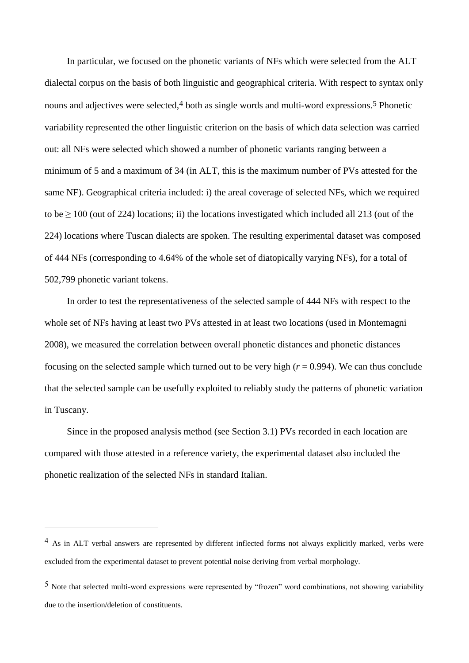In particular, we focused on the phonetic variants of NFs which were selected from the ALT dialectal corpus on the basis of both linguistic and geographical criteria. With respect to syntax only nouns and adjectives were selected,<sup>4</sup> both as single words and multi-word expressions.<sup>5</sup> Phonetic variability represented the other linguistic criterion on the basis of which data selection was carried out: all NFs were selected which showed a number of phonetic variants ranging between a minimum of 5 and a maximum of 34 (in ALT, this is the maximum number of PVs attested for the same NF). Geographical criteria included: i) the areal coverage of selected NFs, which we required to be  $\geq 100$  (out of 224) locations; ii) the locations investigated which included all 213 (out of the 224) locations where Tuscan dialects are spoken. The resulting experimental dataset was composed of 444 NFs (corresponding to 4.64% of the whole set of diatopically varying NFs), for a total of 502,799 phonetic variant tokens.

In order to test the representativeness of the selected sample of 444 NFs with respect to the whole set of NFs having at least two PVs attested in at least two locations (used in Montemagni 2008), we measured the correlation between overall phonetic distances and phonetic distances focusing on the selected sample which turned out to be very high  $(r = 0.994)$ . We can thus conclude that the selected sample can be usefully exploited to reliably study the patterns of phonetic variation in Tuscany.

Since in the proposed analysis method (see Section 3.1) PVs recorded in each location are compared with those attested in a reference variety, the experimental dataset also included the phonetic realization of the selected NFs in standard Italian.

<sup>&</sup>lt;sup>4</sup> As in ALT verbal answers are represented by different inflected forms not always explicitly marked, verbs were excluded from the experimental dataset to prevent potential noise deriving from verbal morphology.

<sup>5</sup> Note that selected multi-word expressions were represented by "frozen" word combinations, not showing variability due to the insertion/deletion of constituents.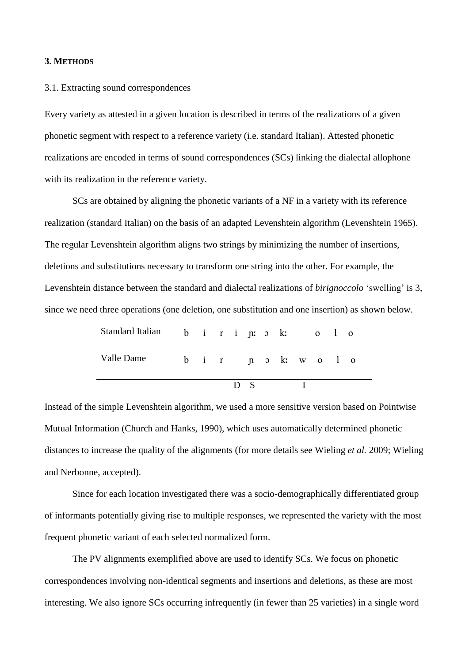## **3. METHODS**

#### 3.1. Extracting sound correspondences

Every variety as attested in a given location is described in terms of the realizations of a given phonetic segment with respect to a reference variety (i.e. standard Italian). Attested phonetic realizations are encoded in terms of sound correspondences (SCs) linking the dialectal allophone with its realization in the reference variety.

SCs are obtained by aligning the phonetic variants of a NF in a variety with its reference realization (standard Italian) on the basis of an adapted Levenshtein algorithm (Levenshtein 1965). The regular Levenshtein algorithm aligns two strings by minimizing the number of insertions, deletions and substitutions necessary to transform one string into the other. For example, the Levenshtein distance between the standard and dialectal realizations of *birignoccolo* "swelling" is 3, since we need three operations (one deletion, one substitution and one insertion) as shown below.

| Standard Italian b i r i jn: 5 k: 0 l 0 |  |  |                |  |  |  |  |
|-----------------------------------------|--|--|----------------|--|--|--|--|
| Valle Dame b i r n b k w o l o          |  |  |                |  |  |  |  |
|                                         |  |  | D <sub>S</sub> |  |  |  |  |

Instead of the simple Levenshtein algorithm, we used a more sensitive version based on Pointwise Mutual Information (Church and Hanks, 1990), which uses automatically determined phonetic distances to increase the quality of the alignments (for more details see Wieling *et al.* 2009; Wieling and Nerbonne, accepted).

Since for each location investigated there was a socio-demographically differentiated group of informants potentially giving rise to multiple responses, we represented the variety with the most frequent phonetic variant of each selected normalized form.

The PV alignments exemplified above are used to identify SCs. We focus on phonetic correspondences involving non-identical segments and insertions and deletions, as these are most interesting. We also ignore SCs occurring infrequently (in fewer than 25 varieties) in a single word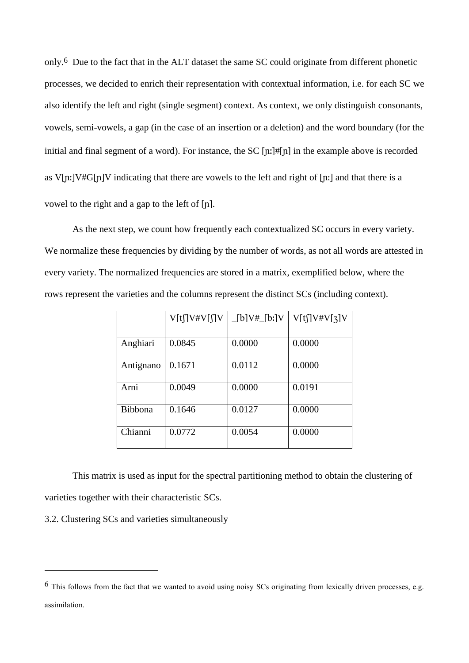only. 6 Due to the fact that in the ALT dataset the same SC could originate from different phonetic processes, we decided to enrich their representation with contextual information, i.e. for each SC we also identify the left and right (single segment) context. As context, we only distinguish consonants, vowels, semi-vowels, a gap (in the case of an insertion or a deletion) and the word boundary (for the initial and final segment of a word). For instance, the SC  $\left[\frac{n!}{\pi}\right]$  in the example above is recorded as V[n:]V#G[n]V indicating that there are vowels to the left and right of [n:] and that there is a vowel to the right and a gap to the left of  $[n]$ .

As the next step, we count how frequently each contextualized SC occurs in every variety. We normalize these frequencies by dividing by the number of words, as not all words are attested in every variety. The normalized frequencies are stored in a matrix, exemplified below, where the rows represent the varieties and the columns represent the distinct SCs (including context).

|           | V[tʃ]V#V[ʃ]V | _[b]V#_[bː]V | V[t]]V#V[3]V |
|-----------|--------------|--------------|--------------|
|           |              |              |              |
| Anghiari  | 0.0845       | 0.0000       | 0.0000       |
| Antignano | 0.1671       | 0.0112       | 0.0000       |
| Arni      | 0.0049       | 0.0000       | 0.0191       |
| Bibbona   | 0.1646       | 0.0127       | 0.0000       |
| Chianni   | 0.0772       | 0.0054       | 0.0000       |

This matrix is used as input for the spectral partitioning method to obtain the clustering of varieties together with their characteristic SCs.

3.2. Clustering SCs and varieties simultaneously

<sup>6</sup> This follows from the fact that we wanted to avoid using noisy SCs originating from lexically driven processes, e.g. assimilation.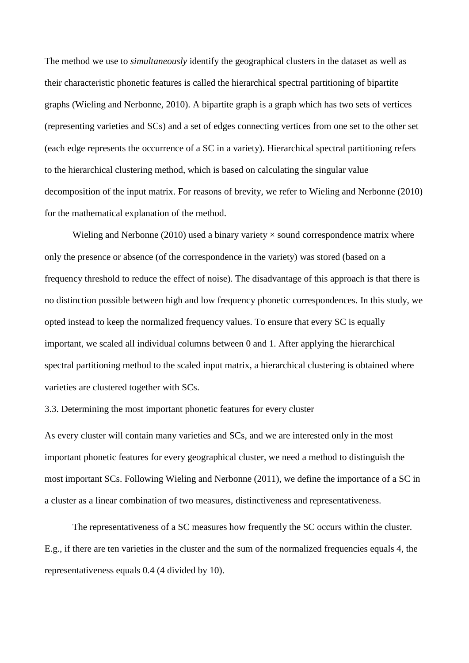The method we use to *simultaneously* identify the geographical clusters in the dataset as well as their characteristic phonetic features is called the hierarchical spectral partitioning of bipartite graphs (Wieling and Nerbonne, 2010). A bipartite graph is a graph which has two sets of vertices (representing varieties and SCs) and a set of edges connecting vertices from one set to the other set (each edge represents the occurrence of a SC in a variety). Hierarchical spectral partitioning refers to the hierarchical clustering method, which is based on calculating the singular value decomposition of the input matrix. For reasons of brevity, we refer to Wieling and Nerbonne (2010) for the mathematical explanation of the method.

Wieling and Nerbonne (2010) used a binary variety  $\times$  sound correspondence matrix where only the presence or absence (of the correspondence in the variety) was stored (based on a frequency threshold to reduce the effect of noise). The disadvantage of this approach is that there is no distinction possible between high and low frequency phonetic correspondences. In this study, we opted instead to keep the normalized frequency values. To ensure that every SC is equally important, we scaled all individual columns between 0 and 1. After applying the hierarchical spectral partitioning method to the scaled input matrix, a hierarchical clustering is obtained where varieties are clustered together with SCs.

3.3. Determining the most important phonetic features for every cluster

As every cluster will contain many varieties and SCs, and we are interested only in the most important phonetic features for every geographical cluster, we need a method to distinguish the most important SCs. Following Wieling and Nerbonne (2011), we define the importance of a SC in a cluster as a linear combination of two measures, distinctiveness and representativeness.

The representativeness of a SC measures how frequently the SC occurs within the cluster. E.g., if there are ten varieties in the cluster and the sum of the normalized frequencies equals 4, the representativeness equals 0.4 (4 divided by 10).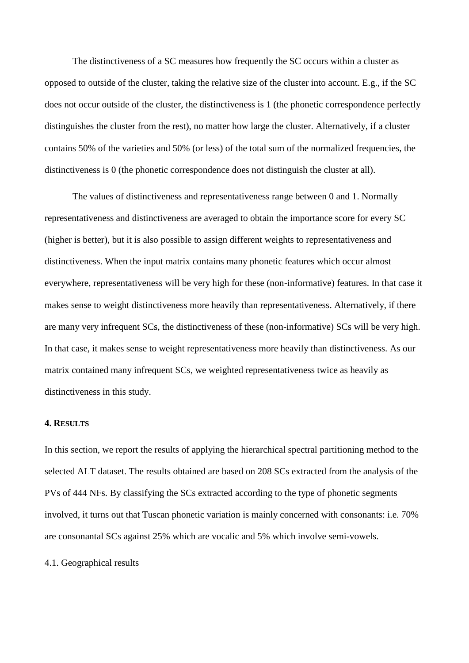The distinctiveness of a SC measures how frequently the SC occurs within a cluster as opposed to outside of the cluster, taking the relative size of the cluster into account. E.g., if the SC does not occur outside of the cluster, the distinctiveness is 1 (the phonetic correspondence perfectly distinguishes the cluster from the rest), no matter how large the cluster. Alternatively, if a cluster contains 50% of the varieties and 50% (or less) of the total sum of the normalized frequencies, the distinctiveness is 0 (the phonetic correspondence does not distinguish the cluster at all).

The values of distinctiveness and representativeness range between 0 and 1. Normally representativeness and distinctiveness are averaged to obtain the importance score for every SC (higher is better), but it is also possible to assign different weights to representativeness and distinctiveness. When the input matrix contains many phonetic features which occur almost everywhere, representativeness will be very high for these (non-informative) features. In that case it makes sense to weight distinctiveness more heavily than representativeness. Alternatively, if there are many very infrequent SCs, the distinctiveness of these (non-informative) SCs will be very high. In that case, it makes sense to weight representativeness more heavily than distinctiveness. As our matrix contained many infrequent SCs, we weighted representativeness twice as heavily as distinctiveness in this study.

#### **4. RESULTS**

In this section, we report the results of applying the hierarchical spectral partitioning method to the selected ALT dataset. The results obtained are based on 208 SCs extracted from the analysis of the PVs of 444 NFs. By classifying the SCs extracted according to the type of phonetic segments involved, it turns out that Tuscan phonetic variation is mainly concerned with consonants: i.e. 70% are consonantal SCs against 25% which are vocalic and 5% which involve semi-vowels.

#### 4.1. Geographical results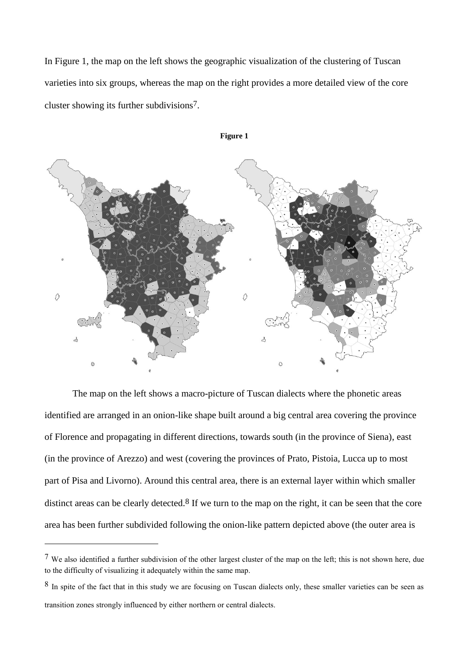In Figure 1, the map on the left shows the geographic visualization of the clustering of Tuscan varieties into six groups, whereas the map on the right provides a more detailed view of the core cluster showing its further subdivisions7.



The map on the left shows a macro-picture of Tuscan dialects where the phonetic areas identified are arranged in an onion-like shape built around a big central area covering the province of Florence and propagating in different directions, towards south (in the province of Siena), east (in the province of Arezzo) and west (covering the provinces of Prato, Pistoia, Lucca up to most part of Pisa and Livorno). Around this central area, there is an external layer within which smaller distinct areas can be clearly detected.<sup>8</sup> If we turn to the map on the right, it can be seen that the core area has been further subdivided following the onion-like pattern depicted above (the outer area is

<sup>7</sup> We also identified a further subdivision of the other largest cluster of the map on the left; this is not shown here, due to the difficulty of visualizing it adequately within the same map.

<sup>8</sup> In spite of the fact that in this study we are focusing on Tuscan dialects only, these smaller varieties can be seen as transition zones strongly influenced by either northern or central dialects.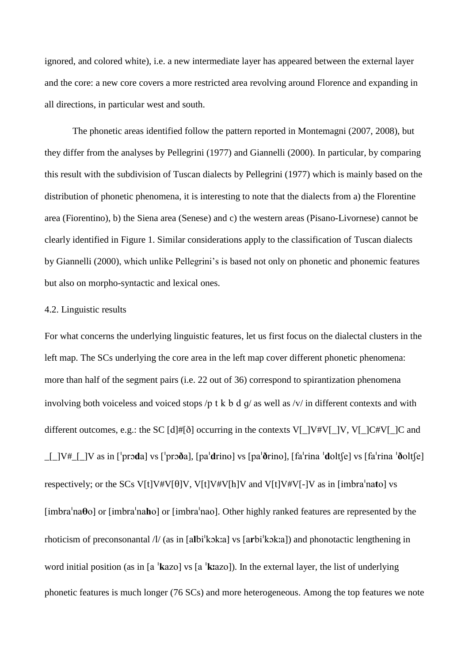ignored, and colored white), i.e. a new intermediate layer has appeared between the external layer and the core: a new core covers a more restricted area revolving around Florence and expanding in all directions, in particular west and south.

The phonetic areas identified follow the pattern reported in Montemagni (2007, 2008), but they differ from the analyses by Pellegrini (1977) and Giannelli (2000). In particular, by comparing this result with the subdivision of Tuscan dialects by Pellegrini (1977) which is mainly based on the distribution of phonetic phenomena, it is interesting to note that the dialects from a) the Florentine area (Fiorentino), b) the Siena area (Senese) and c) the western areas (Pisano-Livornese) cannot be clearly identified in Figure 1. Similar considerations apply to the classification of Tuscan dialects by Giannelli (2000), which unlike Pellegrini"s is based not only on phonetic and phonemic features but also on morpho-syntactic and lexical ones.

#### 4.2. Linguistic results

For what concerns the underlying linguistic features, let us first focus on the dialectal clusters in the left map. The SCs underlying the core area in the left map cover different phonetic phenomena: more than half of the segment pairs (i.e. 22 out of 36) correspond to spirantization phenomena involving both voiceless and voiced stops /p t k b d q/ as well as /v/ in different contexts and with different outcomes, e.g.: the SC  $[d] \# [\delta]$  occurring in the contexts V[\_]V#V[\_]V, V[\_]C#V[\_]C and  $\Box$   $[V^{\#}$   $\Box$   $V$  as in ['proda] vs ['proda], [pa'drino] vs [pa'drino], [fa'rina 'dolt[e] vs [fa'rina 'dolt[e] respectively; or the SCs V[t]V#V[ $\theta$ ]V, V[t]V#V[h]V and V[t]V#V[-]V as in [imbra<sup>1</sup>nato] vs [imbra $'$ na $\theta$ o] or [imbra $'$ na $\theta$ o] or [imbra $'$ nao]. Other highly ranked features are represented by the rhoticism of preconsonantal  $\frac{1}{a}$  (as in [albi<sup>t</sup>kok:a] vs [arbi<sup>t</sup>kok:a]) and phonotactic lengthening in word initial position (as in [a  $'$ **k**azo] vs [a  $'$ **k**azo]). In the external layer, the list of underlying phonetic features is much longer (76 SCs) and more heterogeneous. Among the top features we note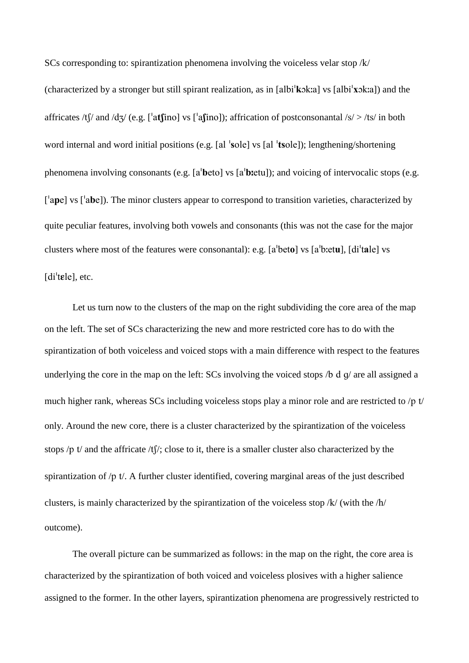SCs corresponding to: spirantization phenomena involving the voiceless velar stop  $/k/$ (characterized by a stronger but still spirant realization, as in [albi<sup>'</sup> $k$ ok:a] vs [albi<sup>'</sup> $x$ ok:a]) and the affricates /tf/ and /dʒ/ (e.g. [ $'$ atfino] vs [ $'$ afino]); affrication of postconsonantal /s/ > /ts/ in both word internal and word initial positions (e.g. [al  $\text{'sole}$ ] vs [al  $\text{'toole}$ ]); lengthening/shortening phenomena involving consonants (e.g. [a<sup>t</sup> $beta$ ] vs [a<sup>t</sup> $beta$ ]); and voicing of intervocalic stops (e.g.  $[$ <sup>'</sup>ape] vs  $[$ 'abe]). The minor clusters appear to correspond to transition varieties, characterized by quite peculiar features, involving both vowels and consonants (this was not the case for the major clusters where most of the features were consonantal): e.g.  $[a^{\dagger} \text{beta}]$  vs  $[a^{\dagger} \text{beta}]$ ,  $[d\text{i}^{\dagger} \text{alpha}]$  vs  $[di$ <sup>'</sup> $t$ **e** $]$ <sub>c</sub> etc.

Let us turn now to the clusters of the map on the right subdividing the core area of the map on the left. The set of SCs characterizing the new and more restricted core has to do with the spirantization of both voiceless and voiced stops with a main difference with respect to the features underlying the core in the map on the left: SCs involving the voiced stops  $\beta$  d q are all assigned a much higher rank, whereas SCs including voiceless stops play a minor role and are restricted to  $/p$  t only. Around the new core, there is a cluster characterized by the spirantization of the voiceless stops /p t/ and the affricate /t[/; close to it, there is a smaller cluster also characterized by the spirantization of  $/p$  t. A further cluster identified, covering marginal areas of the just described clusters, is mainly characterized by the spirantization of the voiceless stop  $/k/$  (with the  $/h/$ outcome).

The overall picture can be summarized as follows: in the map on the right, the core area is characterized by the spirantization of both voiced and voiceless plosives with a higher salience assigned to the former. In the other layers, spirantization phenomena are progressively restricted to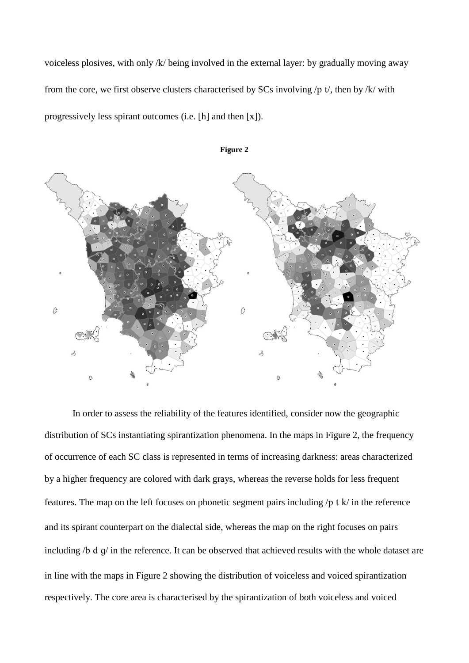voiceless plosives, with only  $/k$  being involved in the external layer: by gradually moving away from the core, we first observe clusters characterised by SCs involving  $/p$  t, then by  $/k$  with progressively less spirant outcomes (i.e.  $[h]$  and then  $[x]$ ).



**Figure 2**

In order to assess the reliability of the features identified, consider now the geographic distribution of SCs instantiating spirantization phenomena. In the maps in Figure 2, the frequency of occurrence of each SC class is represented in terms of increasing darkness: areas characterized by a higher frequency are colored with dark grays, whereas the reverse holds for less frequent features. The map on the left focuses on phonetic segment pairs including  $/p$  t  $k/$  in the reference and its spirant counterpart on the dialectal side, whereas the map on the right focuses on pairs including  $/6$  d  $q/$  in the reference. It can be observed that achieved results with the whole dataset are in line with the maps in Figure 2 showing the distribution of voiceless and voiced spirantization respectively. The core area is characterised by the spirantization of both voiceless and voiced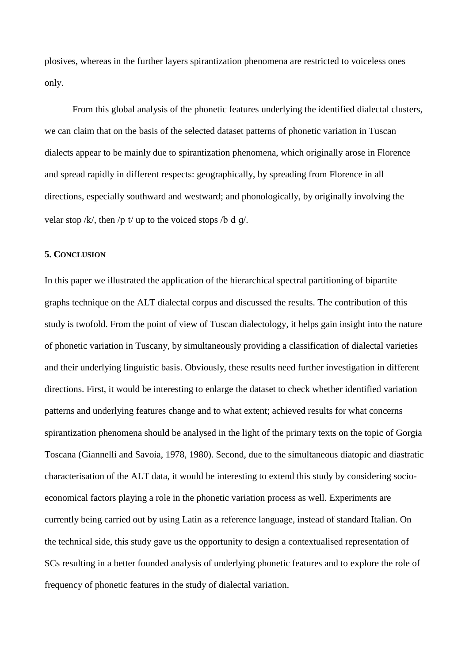plosives, whereas in the further layers spirantization phenomena are restricted to voiceless ones only.

From this global analysis of the phonetic features underlying the identified dialectal clusters, we can claim that on the basis of the selected dataset patterns of phonetic variation in Tuscan dialects appear to be mainly due to spirantization phenomena, which originally arose in Florence and spread rapidly in different respects: geographically, by spreading from Florence in all directions, especially southward and westward; and phonologically, by originally involving the velar stop  $/k$ , then /p t/ up to the voiced stops /b d q/.

#### **5. CONCLUSION**

In this paper we illustrated the application of the hierarchical spectral partitioning of bipartite graphs technique on the ALT dialectal corpus and discussed the results. The contribution of this study is twofold. From the point of view of Tuscan dialectology, it helps gain insight into the nature of phonetic variation in Tuscany, by simultaneously providing a classification of dialectal varieties and their underlying linguistic basis. Obviously, these results need further investigation in different directions. First, it would be interesting to enlarge the dataset to check whether identified variation patterns and underlying features change and to what extent; achieved results for what concerns spirantization phenomena should be analysed in the light of the primary texts on the topic of Gorgia Toscana (Giannelli and Savoia, 1978, 1980). Second, due to the simultaneous diatopic and diastratic characterisation of the ALT data, it would be interesting to extend this study by considering socioeconomical factors playing a role in the phonetic variation process as well. Experiments are currently being carried out by using Latin as a reference language, instead of standard Italian. On the technical side, this study gave us the opportunity to design a contextualised representation of SCs resulting in a better founded analysis of underlying phonetic features and to explore the role of frequency of phonetic features in the study of dialectal variation.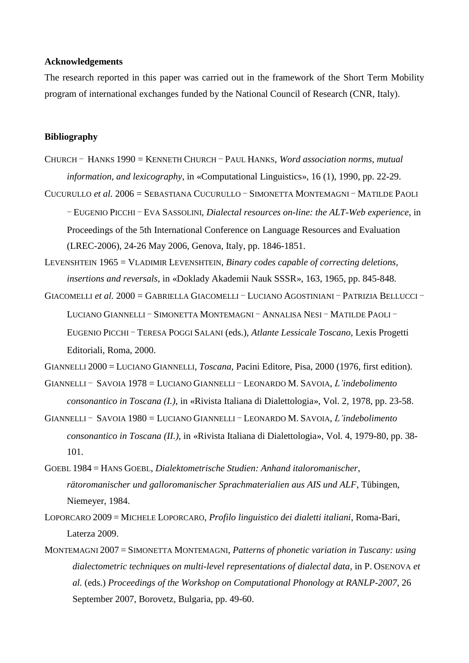#### **Acknowledgements**

The research reported in this paper was carried out in the framework of the Short Term Mobility program of international exchanges funded by the National Council of Research (CNR, Italy).

#### **Bibliography**

- CHURCH ‒ HANKS 1990 = KENNETH CHURCH ‒ PAUL HANKS, *Word association norms, mutual information, and lexicography*, in «Computational Linguistics», 16 (1), 1990, pp. 22-29.
- CUCURULLO *et al.* 2006 = SEBASTIANA CUCURULLO SIMONETTA MONTEMAGNI MATILDE PAOLI

‒ EUGENIO PICCHI ‒ EVA SASSOLINI, *Dialectal resources on-line: the ALT-Web experience*, in Proceedings of the 5th International Conference on Language Resources and Evaluation (LREC-2006), 24-26 May 2006, Genova, Italy, pp. 1846-1851.

LEVENSHTEIN 1965 = VLADIMIR LEVENSHTEIN, *Binary codes capable of correcting deletions, insertions and reversals*, in «Doklady Akademii Nauk SSSR», 163, 1965, pp. 845-848.

GIACOMELLI *et al.* 2000 = GABRIELLA GIACOMELLI - LUCIANO AGOSTINIANI - PATRIZIA BELLUCCI -LUCIANO GIANNELLI - SIMONETTA MONTEMAGNI - ANNALISA NESI - MATILDE PAOLI -EUGENIO PICCHI ‒ TERESA POGGI SALANI (eds.), *Atlante Lessicale Toscano*, Lexis Progetti Editoriali, Roma, 2000.

GIANNELLI 2000 = LUCIANO GIANNELLI, *Toscana*, Pacini Editore, Pisa, 2000 (1976, first edition).

GIANNELLI ‒ SAVOIA 1978 = LUCIANO GIANNELLI ‒ LEONARDO M. SAVOIA, *L'indebolimento consonantico in Toscana (I.)*, in «Rivista Italiana di Dialettologia», Vol. 2, 1978, pp. 23-58.

GIANNELLI ‒ SAVOIA 1980 = LUCIANO GIANNELLI ‒ LEONARDO M. SAVOIA, *L'indebolimento consonantico in Toscana (II.)*, in «Rivista Italiana di Dialettologia», Vol. 4, 1979-80, pp. 38- 101.

- GOEBL 1984 = HANS GOEBL, *Dialektometrische Studien: Anhand italoromanischer, rätoromanischer und galloromanischer Sprachmaterialien aus AIS und ALF*, Tübingen, Niemeyer, 1984.
- LOPORCARO 2009 = MICHELE LOPORCARO, *Profilo linguistico dei dialetti italiani*, Roma-Bari, Laterza 2009.
- MONTEMAGNI 2007 = SIMONETTA MONTEMAGNI, *Patterns of phonetic variation in Tuscany: using dialectometric techniques on multi-level representations of dialectal data*, in P. OSENOVA *et al.* (eds.) *Proceedings of the Workshop on Computational Phonology at RANLP-2007*, 26 September 2007, Borovetz, Bulgaria, pp. 49-60.